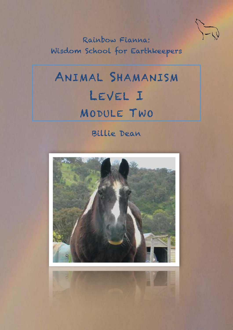

Rainbow Fianna: Wisdom School for Earthkeepers

# ANIMAL SHAMANISM LEVEL I MODULE TWO

## Billie Dean

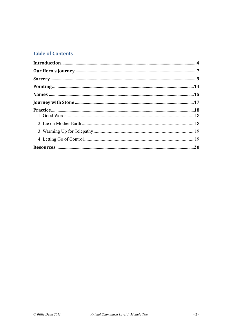#### **Table of Contents**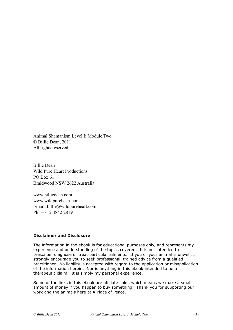Animal Shamanism Level I: Module Two © Billie Dean, 2011 All rights reserved.

Billie Dean Wild Pure Heart Productions PO Box 61 Braidwood NSW 2622 Australia

www.billiedean.com www.wildpureheart.com Email: billie@wildpureheart.com Ph: +61 2 4842 2819

#### **Disclaimer and Disclosure**

The information in the ebook is for educational purposes only, and represents my experience and understanding of the topics covered. It is not intended to prescribe, diagnose or treat particular ailments. If you or your animal is unwell, I strongly encourage you to seek professional, trained advice from a qualified practitioner. No liability is accepted with regard to the application or misapplication of the information herein. Nor is anything in this ebook intended to be a therapeutic claim. It is simply my personal experience.

Some of the links in this ebook are affiliate links, which means we make a small amount of money if you happen to buy something. Thank you for supporting our work and the animals here at A Place of Peace.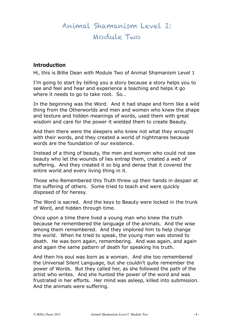## Animal Shamanism Level I: Module Two

#### <span id="page-3-0"></span>**Introduction**

Hi, this is Billie Dean with Module Two of Animal Shamanism Level 1

I'm going to start by telling you a story because a story helps you to see and feel and hear and experience a teaching and helps it go where it needs to go to take root. So...

In the beginning was the Word. And it had shape and form like a wild thing from the Otherworlds and men and women who knew the shape and texture and hidden meanings of words, used them with great wisdom and care for the power it wielded them to create Beauty.

And then there were the sleepers who knew not what they wrought with their words, and they created a world of nightmares because words are the foundation of our existence.

Instead of a thing of beauty, the men and women who could not see beauty who let the wounds of lies entrap them, created a web of suffering. And they created it so big and dense that it covered the entire world and every living thing in it.

Those who Remembered this Truth threw up their hands in despair at the suffering of others. Some tried to teach and were quickly disposed of for heresy.

The Word is sacred. And the keys to Beauty were locked in the trunk of Word, and hidden through time.

Once upon a time there lived a young man who knew the truth because he remembered the language of the animals. And the wise among them remembered. And they implored him to help change the world. When he tried to speak, the young man was stoned to death. He was born again, remembering. And was again, and again and again the same pattern of death for speaking his truth.

And then his soul was born as a woman. And she too remembered the Universal Silent Language, but she couldn't quite remember the power of Words. But they called her, as she followed the path of the artist who writes. And she hunted the power of the word and was frustrated in her efforts. Her mind was asleep, killed into submission. And the animals were suffering.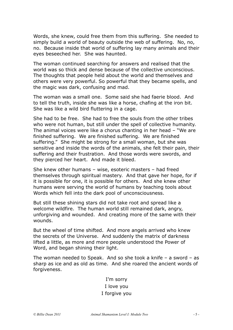Words, she knew, could free them from this suffering. She needed to simply build a world of beauty outside the web of suffering. No, no, no. Because inside that world of suffering lay many animals and their eyes beseeched her. She was haunted.

The woman continued searching for answers and realised that the world was so thick and dense because of the collective unconscious. The thoughts that people held about the world and themselves and others were very powerful. So powerful that they became spells, and the magic was dark, confusing and mad.

The woman was a small one. Some said she had faerie blood. And to tell the truth, inside she was like a horse, chafing at the iron bit. She was like a wild bird fluttering in a cage.

She had to be free. She had to free the souls from the other tribes who were not human, but still under the spell of collective humanity. The animal voices were like a chorus chanting in her head – "We are finished suffering. We are finished suffering. We are finished suffering." She might be strong for a small woman, but she was sensitive and inside the words of the animals, she felt their pain, their suffering and their frustration. And those words were swords, and they pierced her heart. And made it bleed.

She knew other humans – wise, esoteric masters – had freed themselves through spiritual mastery. And that gave her hope, for if it is possible for one, it is possible for others. And she knew other humans were serving the world of humans by teaching tools about Words which fell into the dark pool of unconsciousness.

But still these shining stars did not take root and spread like a welcome wildfire. The human world still remained dark, angry, unforgiving and wounded. And creating more of the same with their wounds.

But the wheel of time shifted. And more angels arrived who knew the secrets of the Universe. And suddenly the matrix of darkness lifted a little, as more and more people understood the Power of Word, and began shining their light.

The woman needed to Speak. And so she took a knife – a sword – as sharp as ice and as old as time. And she roared the ancient words of forgiveness.

#### I'm sorry I love you I forgive you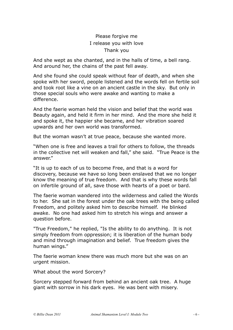#### Please forgive me I release you with love Thank you

And she wept as she chanted, and in the halls of time, a bell rang. And around her, the chains of the past fell away.

And she found she could speak without fear of death, and when she spoke with her sword, people listened and the words fell on fertile soil and took root like a vine on an ancient castle in the sky. But only in those special souls who were awake and wanting to make a difference.

And the faerie woman held the vision and belief that the world was Beauty again, and held it firm in her mind. And the more she held it and spoke it, the happier she became, and her vibration soared upwards and her own world was transformed.

But the woman wasn't at true peace, because she wanted more.

"When one is free and leaves a trail for others to follow, the threads in the collective net will weaken and fall," she said. "True Peace is the answer."

"It is up to each of us to become Free, and that is a word for discovery, because we have so long been enslaved that we no longer know the meaning of true freedom. And that is why these words fall on infertile ground of all, save those with hearts of a poet or bard.

The faerie woman wandered into the wilderness and called the Words to her. She sat in the forest under the oak trees with the being called Freedom, and politely asked him to describe himself. He blinked awake. No one had asked him to stretch his wings and answer a question before.

"True Freedom," he replied, "Is the ability to do anything. It is not simply freedom from oppression; it is liberation of the human body and mind through imagination and belief. True freedom gives the human wings."

The faerie woman knew there was much more but she was on an urgent mission.

What about the word Sorcery?

Sorcery stepped forward from behind an ancient oak tree. A huge giant with sorrow in his dark eyes. He was bent with misery.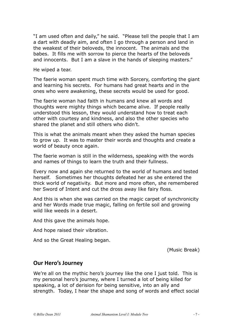"I am used often and daily," he said. "Please tell the people that I am a dart with deadly aim, and often I go through a person and land in the weakest of their beloveds, the innocent. The animals and the babes. It fills me with sorrow to pierce the hearts of the beloveds and innocents. But I am a slave in the hands of sleeping masters."

He wiped a tear.

The faerie woman spent much time with Sorcery, comforting the giant and learning his secrets. For humans had great hearts and in the ones who were awakening, these secrets would be used for good.

The faerie woman had faith in humans and knew all words and thoughts were mighty things which became alive. If people really understood this lesson, they would understand how to treat each other with courtesy and kindness, and also the other species who shared the planet and still others who didn't.

This is what the animals meant when they asked the human species to grow up. It was to master their words and thoughts and create a world of beauty once again.

The faerie woman is still in the wilderness, speaking with the words and names of things to learn the truth and their fullness.

Every now and again she returned to the world of humans and tested herself. Sometimes her thoughts defeated her as she entered the thick world of negativity. But more and more often, she remembered her Sword of Intent and cut the dross away like fairy floss.

And this is when she was carried on the magic carpet of synchronicity and her Words made true magic, falling on fertile soil and growing wild like weeds in a desert.

And this gave the animals hope.

And hope raised their vibration.

And so the Great Healing began.

(Music Break)

#### <span id="page-6-0"></span>**Our Hero's Journey**

We're all on the mythic hero's journey like the one I just told. This is my personal hero's journey, where I turned a lot of being killed for speaking, a lot of derision for being sensitive, into an ally and strength. Today, I hear the shape and song of words and effect social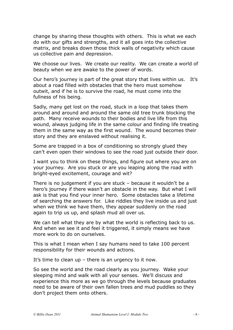change by sharing these thoughts with others. This is what we each do with our gifts and strengths, and it all goes into the collective matrix, and breaks down those thick walls of negativity which cause us collective pain and depression.

We choose our lives. We create our reality. We can create a world of beauty when we are awake to the power of words.

Our hero's journey is part of the great story that lives within us. It's about a road filled with obstacles that the hero must somehow outwit, and if he is to survive the road, he must come into the fullness of his being.

Sadly, many get lost on the road, stuck in a loop that takes them around and around and around the same old tree trunk blocking the path. Many receive wounds to their bodies and live life from this wound, always judging life in the same colour and finding life treating them in the same way as the first wound. The wound becomes their story and they are enslaved without realising it.

Some are trapped in a box of conditioning so strongly glued they can't even open their windows to see the road just outside their door.

I want you to think on these things, and figure out where you are on your journey. Are you stuck or are you leaping along the road with bright-eyed excitement, courage and wit?

There is no judgement if you are stuck – because it wouldn't be a hero's journey if there wasn't an obstacle in the way. But what I will ask is that you find your inner hero. Some obstacles take a lifetime of searching the answers for. Like riddles they live inside us and just when we think we have them, they appear suddenly on the road again to trip us up, and splash mud all over us.

We can tell what they are by what the world is reflecting back to us. And when we see it and feel it triggered, it simply means we have more work to do on ourselves.

This is what I mean when I say humans need to take 100 percent responsibility for their wounds and actions.

It's time to clean up – there is an urgency to it now.

So see the world and the road clearly as you journey. Wake your sleeping mind and walk with all your senses. We'll discuss and experience this more as we go through the levels because graduates need to be aware of their own fallen trees and mud puddles so they don't project them onto others.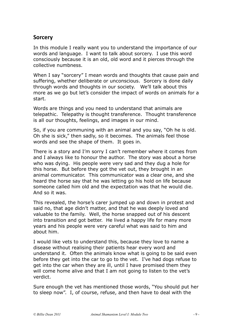#### <span id="page-8-0"></span>**Sorcery**

In this module I really want you to understand the importance of our words and language. I want to talk about sorcery. I use this word consciously because it is an old, old word and it pierces through the collective numbness.

When I say "sorcery" I mean words and thoughts that cause pain and suffering, whether deliberate or unconscious. Sorcery is done daily through words and thoughts in our society. We'll talk about this more as we go but let's consider the impact of words on animals for a start.

Words are things and you need to understand that animals are telepathic. Telepathy is thought transference. Thought transference is all our thoughts, feelings, and images in our mind.

So, if you are communing with an animal and you say, "Oh he is old. Oh she is sick," then sadly, so it becomes. The animals feel those words and see the shape of them. It goes in.

There is a story and I'm sorry I can't remember where it comes from and I always like to honour the author. The story was about a horse who was dying. His people were very sad and they dug a hole for this horse. But before they got the vet out, they brought in an animal communicator. This communicator was a clear one, and she heard the horse say that he was letting go his hold on life because someone called him old and the expectation was that he would die. And so it was.

This revealed, the horse's carer jumped up and down in protest and said no, that age didn't matter, and that he was deeply loved and valuable to the family. Well, the horse snapped out of his descent into transition and got better. He lived a happy life for many more years and his people were very careful what was said to him and about him.

I would like vets to understand this, because they love to name a disease without realising their patients hear every word and understand it. Often the animals know what is going to be said even before they get into the car to go to the vet. I've had dogs refuse to get into the car when they are ill, until I have promised them they will come home alive and that I am not going to listen to the vet's verdict.

Sure enough the vet has mentioned those words, "You should put her to sleep now". I, of course, refuse, and then have to deal with the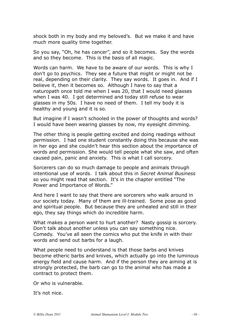shock both in my body and my beloved's. But we make it and have much more quality time together.

So you say, "Oh, he has cancer", and so it becomes. Say the words and so they become. This is the basis of all magic.

Words can harm. We have to be aware of our words. This is why I don't go to psychics. They see a future that might or might not be real, depending on their clarity. They say words. It goes in. And if I believe it, then it becomes so. Although I have to say that a naturopath once told me when I was 20, that I would need glasses when I was 40. I got determined and today still refuse to wear glasses in my 50s. I have no need of them. I tell my body it is healthy and young and it is so.

But imagine if I wasn't schooled in the power of thoughts and words? I would have been wearing glasses by now, my eyesight dimming.

The other thing is people getting excited and doing readings without permission. I had one student constantly doing this because she was in her ego and she couldn't hear this section about the importance of words and permission. She would tell people what she saw, and often caused pain, panic and anxiety. This is what I call sorcery.

Sorcerers can do so much damage to people and animals through intentional use of words. I talk about this in *Secret Animal Business* so you might read that section. It's in the chapter entitled "The Power and Importance of Words."

And here I want to say that there are sorcerers who walk around in our society today. Many of them are ill-trained. Some pose as good and spiritual people. But because they are unhealed and still in their ego, they say things which do incredible harm.

What makes a person want to hurt another? Nasty gossip is sorcery. Don't talk about another unless you can say something nice. Comedy. You've all seen the comics who put the knife in with their words and send out barbs for a laugh.

What people need to understand is that those barbs and knives become etheric barbs and knives, which actually go into the luminous energy field and cause harm. And if the person they are aiming at is strongly protected, the barb can go to the animal who has made a contract to protect them.

Or who is vulnerable.

It's not nice.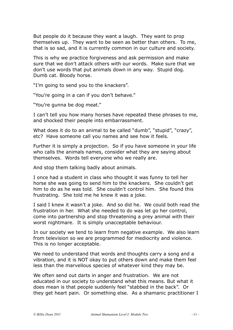But people do it because they want a laugh. They want to prop themselves up. They want to be seen as better than others. To me, that is so sad, and it is currently common in our culture and society.

This is why we practice forgiveness and ask permission and make sure that we don't attack others with our words. Make sure that we don't use words that put animals down in any way. Stupid dog. Dumb cat. Bloody horse.

"I'm going to send you to the knackers".

"You're going in a can if you don't behave."

"You're gunna be dog meat."

I can't tell you how many horses have repeated these phrases to me, and shocked their people into embarrassment.

What does it do to an animal to be called "dumb", "stupid", "crazy", etc? Have someone call you names and see how it feels.

Further it is simply a projection. So if you have someone in your life who calls the animals names, consider what they are saying about themselves. Words tell everyone who we really are.

And stop them talking badly about animals.

I once had a student in class who thought it was funny to tell her horse she was going to send him to the knackers. She couldn't get him to do as he was told. She couldn't control him. She found this frustrating. She told me he knew it was a joke.

I said I knew it wasn't a joke. And so did he. We could both read the frustration in her. What she needed to do was let go her control, come into partnership and stop threatening a prey animal with their worst nightmare. It is simply unacceptable behaviour.

In our society we tend to learn from negative example. We also learn from television so we are programmed for mediocrity and violence. This is no longer acceptable.

We need to understand that words and thoughts carry a song and a vibration, and it is NOT okay to put others down and make them feel less than the marvellous species of whatever kind they may be.

We often send out darts in anger and frustration. We are not educated in our society to understand what this means. But what it does mean is that people suddenly feel "stabbed in the back". Or they get heart pain. Or something else. As a shamanic practitioner I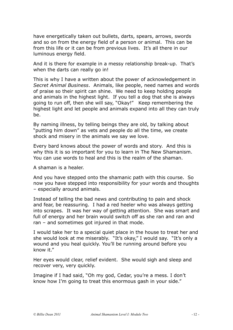have energetically taken out bullets, darts, spears, arrows, swords and so on from the energy field of a person or animal. This can be from this life or it can be from previous lives. It's all there in our luminous energy field.

And it is there for example in a messy relationship break-up. That's when the darts can really go in!

This is why I have a written about the power of acknowledgement in *Secret Animal Business*. Animals, like people, need names and words of praise so their spirit can shine. We need to keep holding people and animals in the highest light. If you tell a dog that she is always going to run off, then she will say, "Okay!" Keep remembering the highest light and let people and animals expand into all they can truly be.

By naming illness, by telling beings they are old, by talking about "putting him down" as vets and people do all the time, we create shock and misery in the animals we say we love.

Every bard knows about the power of words and story. And this is why this it is so important for you to learn in The New Shamanism. You can use words to heal and this is the realm of the shaman.

A shaman is a healer.

And you have stepped onto the shamanic path with this course. So now you have stepped into responsibility for your words and thoughts – especially around animals.

Instead of telling the bad news and contributing to pain and shock and fear, be reassuring. I had a red heeler who was always getting into scrapes. It was her way of getting attention. She was smart and full of energy and her brain would switch off as she ran and ran and ran – and sometimes got injured in that mode.

I would take her to a special quiet place in the house to treat her and she would look at me miserably. "It's okay," I would say. "It's only a wound and you heal quickly. You'll be running around before you know it."

Her eyes would clear, relief evident. She would sigh and sleep and recover very, very quickly.

Imagine if I had said, "Oh my god, Cedar, you're a mess. I don't know how I'm going to treat this enormous gash in your side."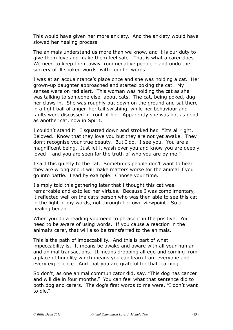This would have given her more anxiety. And the anxiety would have slowed her healing process.

The animals understand us more than we know, and it is our duty to give them love and make them feel safe. That is what a carer does. We need to keep them away from negative people – and undo the sorcery of ill spoken words, with counter words.

I was at an acquaintance's place once and she was holding a cat. Her grown-up daughter approached and started poking the cat. My senses were on red alert. This woman was holding the cat as she was talking to someone else, about cats. The cat, being poked, dug her claws in. She was roughly put down on the ground and sat there in a tight ball of anger, her tail swishing, while her behaviour and faults were discussed in front of her. Apparently she was not as good as another cat, now in Spirit.

I couldn't stand it. I squatted down and stroked her. "It's all right, Beloved. Know that they love you but they are not yet awake. They don't recognise your true beauty. But I do. I see you. You are a magnificent being. Just let it wash over you and know you are deeply loved – and you are seen for the truth of who you are by me."

I said this quietly to the cat. Sometimes people don't want to hear they are wrong and it will make matters worse for the animal if you go into battle. Lead by example. Choose your time.

I simply told this gathering later that I thought this cat was remarkable and extolled her virtues. Because I was complimentary, it reflected well on the cat's person who was then able to see this cat in the light of my words, not through her own viewpoint. So a healing began.

When you do a reading you need to phrase it in the positive. You need to be aware of using words. If you cause a reaction in the animal's carer, that will also be transferred to the animals.

This is the path of impeccability. And this is part of what impeccability is. It means be awake and aware with all your human and animal transactions. It means dropping all ego and coming from a place of humility which means you can learn from everyone and every experience. And that you are grateful for that learning.

So don't, as one animal communicator did, say, "This dog has cancer and will die in four months." You can feel what that sentence did to both dog and carers. The dog's first words to me were, "I don't want to die."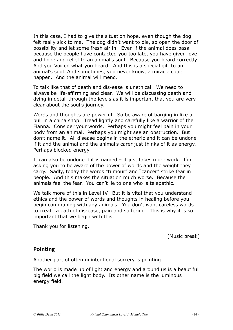In this case, I had to give the situation hope, even though the dog felt really sick to me. The dog didn't want to die, so open the door of possibility and let some fresh air in. Even if the animal does pass because the people have contacted you too late, you have given love and hope and relief to an animal's soul. Because you heard correctly. And you Voiced what you heard. And this is a special gift to an animal's soul. And sometimes, you never know, a miracle could happen. And the animal will mend.

To talk like that of death and dis-ease is unethical. We need to always be life-affirming and clear. We will be discussing death and dying in detail through the levels as it is important that you are very clear about the soul's journey.

Words and thoughts are powerful. So be aware of barging in like a bull in a china shop. Tread lightly and carefully like a warrior of the Fianna. Consider your words. Perhaps you might feel pain in your body from an animal. Perhaps you might see an obstruction. But don't name it. All disease begins in the etheric and it can be undone if it and the animal and the animal's carer just thinks of it as energy. Perhaps blocked energy.

It can also be undone if it is named – it just takes more work. I'm asking you to be aware of the power of words and the weight they carry. Sadly, today the words "tumour" and "cancer" strike fear in people. And this makes the situation much worse. Because the animals feel the fear. You can't lie to one who is telepathic.

We talk more of this in Level IV. But it is vital that you understand ethics and the power of words and thoughts in healing before you begin communing with any animals. You don't want careless words to create a path of dis-ease, pain and suffering. This is why it is so important that we begin with this.

Thank you for listening.

(Music break)

#### <span id="page-13-0"></span>**Pointing**

Another part of often unintentional sorcery is pointing.

The world is made up of light and energy and around us is a beautiful big field we call the light body. Its other name is the luminous energy field.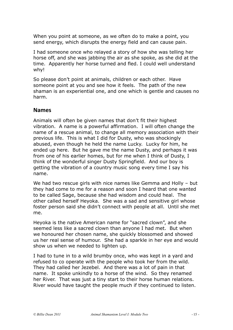When you point at someone, as we often do to make a point, you send energy, which disrupts the energy field and can cause pain.

I had someone once who relayed a story of how she was telling her horse off, and she was jabbing the air as she spoke, as she did at the time. Apparently her horse turned and fled. I could well understand why!

So please don't point at animals, children or each other. Have someone point at you and see how it feels. The path of the new shaman is an experiential one, and one which is gentle and causes no harm.

#### <span id="page-14-0"></span>**Names**

Animals will often be given names that don't fit their highest vibration. A name is a powerful affirmation. I will often change the name of a rescue animal, to change all memory association with their previous life. This is what I did for Dusty, who was shockingly abused, even though he held the name Lucky. Lucky for him, he ended up here. But he gave me the name Dusty, and perhaps it was from one of his earlier homes, but for me when I think of Dusty, I think of the wonderful singer Dusty Springfield. And our boy is getting the vibration of a country music song every time I say his name.

We had two rescue girls with nice names like Gemma and Holly – but they had come to me for a reason and soon I heard that one wanted to be called Sage, because she had wisdom and could heal. The other called herself Heyoka. She was a sad and sensitive girl whose foster person said she didn't connect with people at all. Until she met me.

Heyoka is the native American name for "sacred clown", and she seemed less like a sacred clown than anyone I had met. But when we honoured her chosen name, she quickly blossomed and showed us her real sense of humour. She had a sparkle in her eye and would show us when we needed to lighten up.

I had to tune in to a wild brumby once, who was kept in a yard and refused to co operate with the people who took her from the wild. They had called her Jezebel. And there was a lot of pain in that name. It spoke unkindly to a horse of the wind. So they renamed her River. That was just a tiny start to their horse human relations. River would have taught the people much if they continued to listen.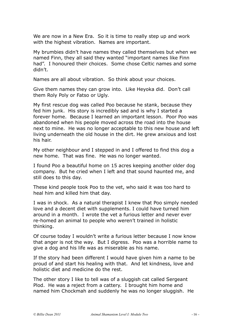We are now in a New Era. So it is time to really step up and work with the highest vibration. Names are important.

My brumbies didn't have names they called themselves but when we named Finn, they all said they wanted "important names like Finn had". I honoured their choices. Some chose Celtic names and some didn't.

Names are all about vibration. So think about your choices.

Give them names they can grow into. Like Heyoka did. Don't call them Roly Poly or Fatso or Ugly.

My first rescue dog was called Poo because he stank, because they fed him junk. His story is incredibly sad and is why I started a forever home. Because I learned an important lesson. Poor Poo was abandoned when his people moved across the road into the house next to mine. He was no longer acceptable to this new house and left living underneath the old house in the dirt. He grew anxious and lost his hair.

My other neighbour and I stepped in and I offered to find this dog a new home. That was fine. He was no longer wanted.

I found Poo a beautiful home on 15 acres keeping another older dog company. But he cried when I left and that sound haunted me, and still does to this day.

These kind people took Poo to the vet, who said it was too hard to heal him and killed him that day.

I was in shock. As a natural therapist I knew that Poo simply needed love and a decent diet with supplements. I could have turned him around in a month. I wrote the vet a furious letter and never ever re-homed an animal to people who weren't trained in holistic thinking.

Of course today I wouldn't write a furious letter because I now know that anger is not the way. But I digress. Poo was a horrible name to give a dog and his life was as miserable as his name.

If the story had been different I would have given him a name to be proud of and start his healing with that. And let kindness, love and holistic diet and medicine do the rest.

The other story I like to tell was of a sluggish cat called Sergeant Plod. He was a reject from a cattery. I brought him home and named him Chockmah and suddenly he was no longer sluggish. He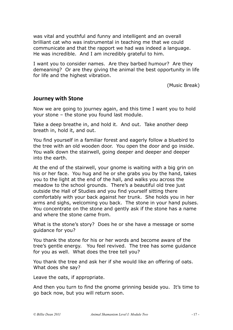was vital and youthful and funny and intelligent and an overall brilliant cat who was instrumental in teaching me that we could communicate and that the rapport we had was indeed a language. He was incredible. And I am incredibly grateful to him.

I want you to consider names. Are they barbed humour? Are they demeaning? Or are they giving the animal the best opportunity in life for life and the highest vibration.

(Music Break)

#### <span id="page-16-0"></span>**Journey with Stone**

Now we are going to journey again, and this time I want you to hold your stone – the stone you found last module.

Take a deep breathe in, and hold it. And out. Take another deep breath in, hold it, and out.

You find yourself in a familiar forest and eagerly follow a bluebird to the tree with an old wooden door. You open the door and go inside. You walk down the stairwell, going deeper and deeper and deeper into the earth.

At the end of the stairwell, your gnome is waiting with a big grin on his or her face. You hug and he or she grabs you by the hand, takes you to the light at the end of the hall, and walks you across the meadow to the school grounds. There's a beautiful old tree just outside the Hall of Studies and you find yourself sitting there comfortably with your back against her trunk. She holds you in her arms and sighs, welcoming you back. The stone in your hand pulses. You concentrate on the stone and gently ask if the stone has a name and where the stone came from.

What is the stone's story? Does he or she have a message or some guidance for you?

You thank the stone for his or her words and become aware of the tree's gentle energy. You feel revived. The tree has some guidance for you as well. What does the tree tell you?

You thank the tree and ask her if she would like an offering of oats. What does she say?

Leave the oats, if appropriate.

And then you turn to find the gnome grinning beside you. It's time to go back now, but you will return soon.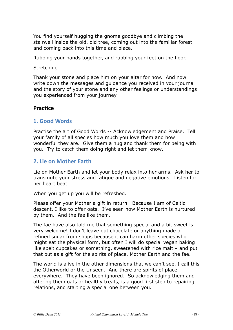You find yourself hugging the gnome goodbye and climbing the stairwell inside the old, old tree, coming out into the familiar forest and coming back into this time and place.

Rubbing your hands together, and rubbing your feet on the floor.

Stretching…..

Thank your stone and place him on your altar for now. And now write down the messages and guidance you received in your journal and the story of your stone and any other feelings or understandings you experienced from your journey.

#### <span id="page-17-0"></span>**Practice**

#### <span id="page-17-1"></span>**1. 
Good 
Words**

Practise the art of Good Words -- Acknowledgement and Praise. Tell your family of all species how much you love them and how wonderful they are. Give them a hug and thank them for being with you. Try to catch them doing right and let them know.

#### <span id="page-17-2"></span>**2.** Lie on Mother Farth

Lie on Mother Earth and let your body relax into her arms. Ask her to transmute your stress and fatigue and negative emotions. Listen for her heart beat.

When you get up you will be refreshed.

Please offer your Mother a gift in return. Because I am of Celtic descent, I like to offer oats. I've seen how Mother Earth is nurtured by them. And the fae like them.

The fae have also told me that something special and a bit sweet is very welcome! I don't leave out chocolate or anything made of refined sugar from shops because it can harm other species who might eat the physical form, but often I will do special vegan baking like spelt cupcakes or something, sweetened with rice malt – and put that out as a gift for the spirits of place, Mother Earth and the fae.

The world is alive in the other dimensions that we can't see. I call this the Otherworld or the Unseen. And there are spirits of place everywhere. They have been ignored. So acknowledging them and offering them oats or healthy treats, is a good first step to repairing relations, and starting a special one between you.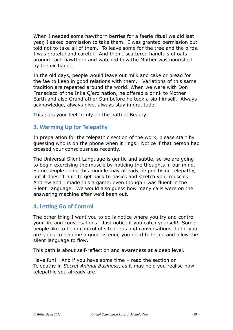When I needed some hawthorn berries for a faerie ritual we did last year, I asked permission to take them. I was granted permission but told not to take all of them. To leave some for the tree and the birds. I was grateful and careful. And then I scattered handfuls of oats around each hawthorn and watched how the Mother was nourished by the exchange.

In the old days, people would leave out milk and cake or bread for the fae to keep in good relations with them. Variations of this same tradition are repeated around the world. When we were with Don Franscisco of the Inka Q'ero nation, he offered a drink to Mother Earth and also Grandfather Sun before he took a sip himself. Always acknowledge, always give, always stay in gratitude.

<span id="page-18-0"></span>This puts your feet firmly on the path of Beauty.

#### **3. Warming Up for Telepathy**

In preparation for the telepathic section of the work, please start by guessing who is on the phone when it rings. Notice if that person had crossed your consciousness recently.

The Universal Silent Language is gentle and subtle, so we are going to begin exercising the muscle by noticing the thoughts in our mind. Some people doing this module may already be practising telepathy, but it doesn't hurt to get back to basics and stretch your muscles. Andrew and I made this a game, even though I was fluent in the Silent Language. We would also guess how many calls were on the answering machine after we'd been out.

### <span id="page-18-1"></span>**4. Letting Go of Control**

The other thing I want you to do is notice where you try and control your life and conversations. Just notice if you catch yourself! Some people like to be in control of situations and conversations, but if you are going to become a good listener, you need to let go and allow the silent language to flow.

This path is about self-reflection and awareness at a deep level.

Have fun!! And if you have some time – read the section on Telepathy in *Secret Animal Business*, as it may help you realise how telepathic you already are.

. . . . . .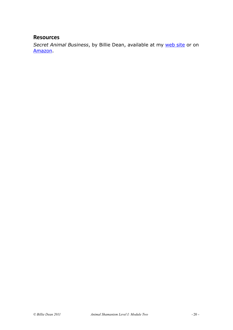#### <span id="page-19-0"></span>**Resources**

Secret Animal Business, by Billie Dean, available at my [web site](http://www.billiedean.com) or on [Amazon](http://amzn.to/fMGgAr).